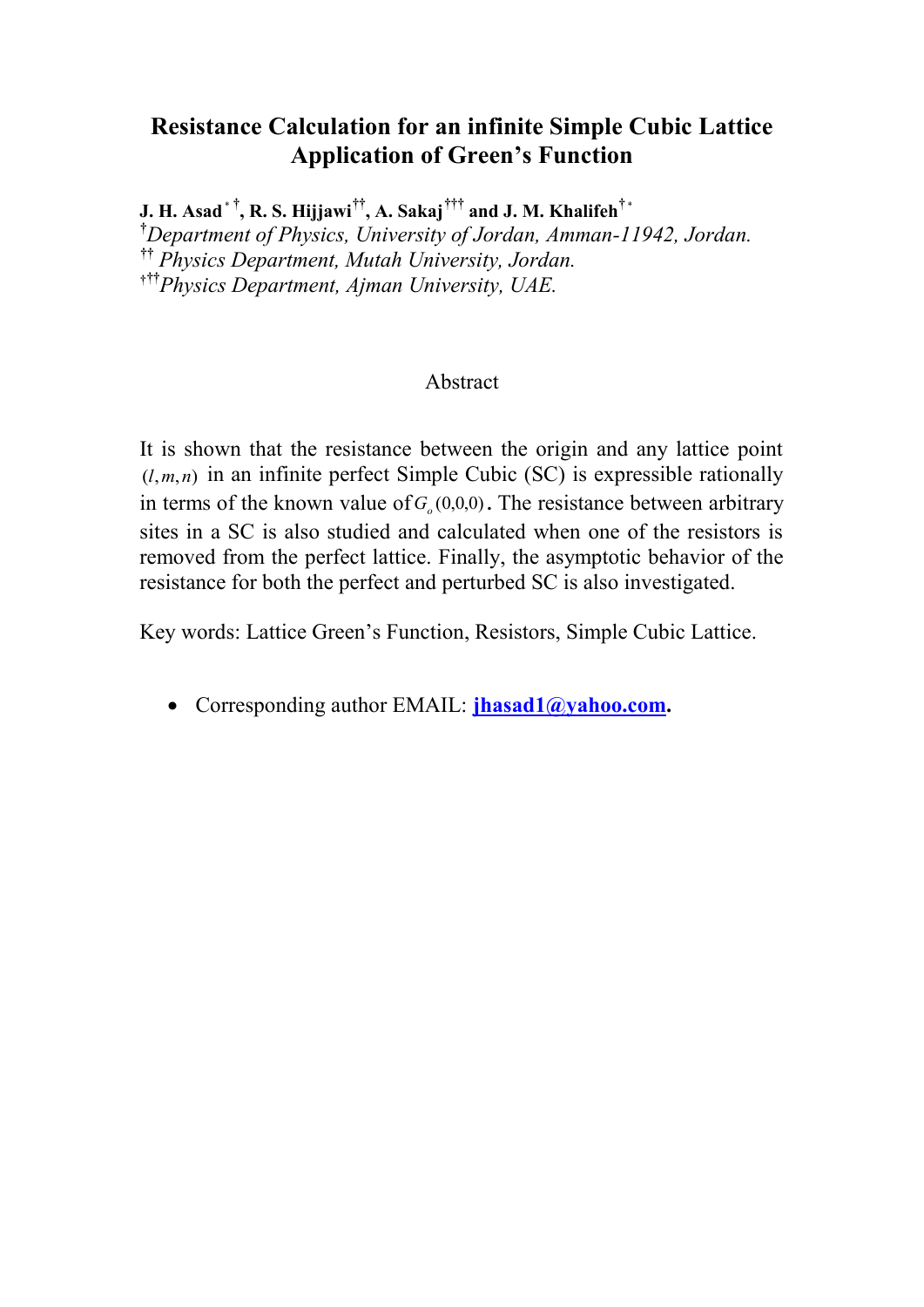# **Resistance Calculation for an infinite Simple Cubic Lattice Application of Green's Function**

 $\mathbf{J.~H.~Asad}^{\ast\, \dagger}, \mathbf{R.~S.~Hijjawi}^{\dagger\dagger}, \mathbf{A.~Sakaj}^{\dagger\dagger\dagger} \mathbf{~and~J.~M.~Khalifeh}^{\dagger\,*}$ **†***Department of Physics, University of Jordan, Amman-11942, Jordan.* **††** *Physics Department, Mutah University, Jordan.* **†††** *Physics Department, Ajman University, UAE.*

## Abstract

It is shown that the resistance between the origin and any lattice point  $(l, m, n)$  in an infinite perfect Simple Cubic (SC) is expressible rationally in terms of the known value of  $G_o(0,0,0)$ . The resistance between arbitrary sites in a SC is also studied and calculated when one of the resistors is removed from the perfect lattice. Finally, the asymptotic behavior of the resistance for both the perfect and perturbed SC is also investigated.

Key words: Lattice Green's Function, Resistors, Simple Cubic Lattice.

Corresponding author EMAIL: **[jhasad1@yahoo.com.](mailto:jhasad1@yahoo.com)**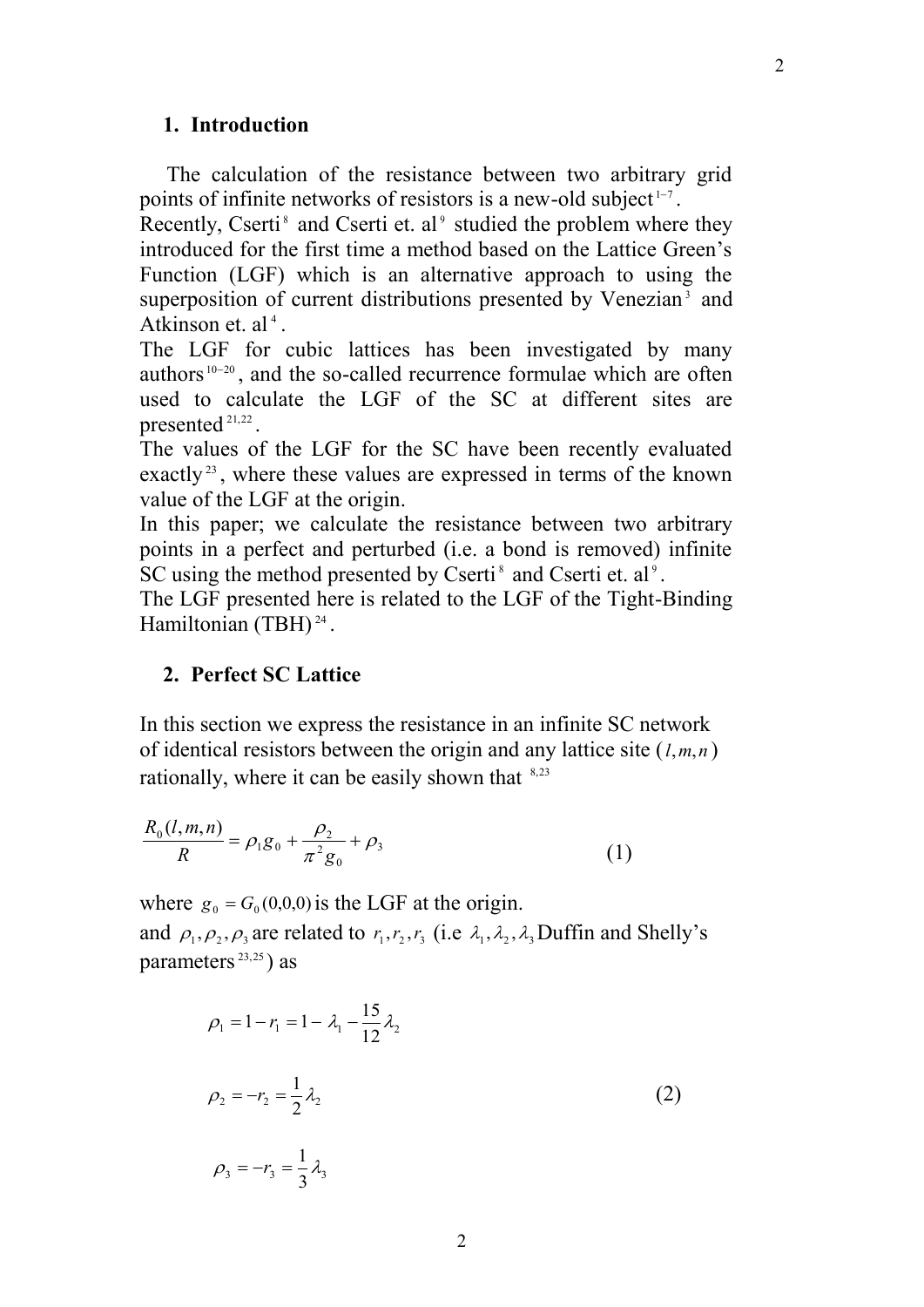### **1. Introduction**

 The calculation of the resistance between two arbitrary grid points of infinite networks of resistors is a new-old subject<sup> $1-7$ </sup>.

Recently, Cserti<sup>8</sup> and Cserti et. al<sup>9</sup> studied the problem where they introduced for the first time a method based on the Lattice Green's Function (LGF) which is an alternative approach to using the superposition of current distributions presented by Venezian<sup>3</sup> and Atkinson et. al<sup>4</sup>.

The LGF for cubic lattices has been investigated by many authors<sup>10-20</sup>, and the so-called recurrence formulae which are often used to calculate the LGF of the SC at different sites are presented 21,22 .

The values of the LGF for the SC have been recently evaluated exactly<sup>23</sup>, where these values are expressed in terms of the known value of the LGF at the origin.

In this paper; we calculate the resistance between two arbitrary points in a perfect and perturbed (i.e. a bond is removed) infinite SC using the method presented by Cserti<sup>8</sup> and Cserti et. al<sup>9</sup>.

The LGF presented here is related to the LGF of the Tight-Binding Hamiltonian (TBH)<sup>24</sup>.

## **2. Perfect SC Lattice**

In this section we express the resistance in an infinite SC network of identical resistors between the origin and any lattice site ( *l*,*m*,*n* ) rationally, where it can be easily shown that <sup>8,23</sup>

$$
\frac{R_0(l,m,n)}{R} = \rho_1 g_0 + \frac{\rho_2}{\pi^2 g_0} + \rho_3 \tag{1}
$$

where  $g_0 = G_0(0,0,0)$  is the LGF at the origin.

and  $\rho_1, \rho_2, \rho_3$  are related to  $r_1, r_2, r_3$  (i.e  $\lambda_1, \lambda_2, \lambda_3$  Duffin and Shelly's parameters 23,25 ) as

$$
\rho_1 = 1 - r_1 = 1 - \lambda_1 - \frac{15}{12} \lambda_2
$$
  

$$
\rho_2 = -r_2 = \frac{1}{2} \lambda_2
$$
  

$$
\rho_3 = -r_3 = \frac{1}{3} \lambda_3
$$
 (2)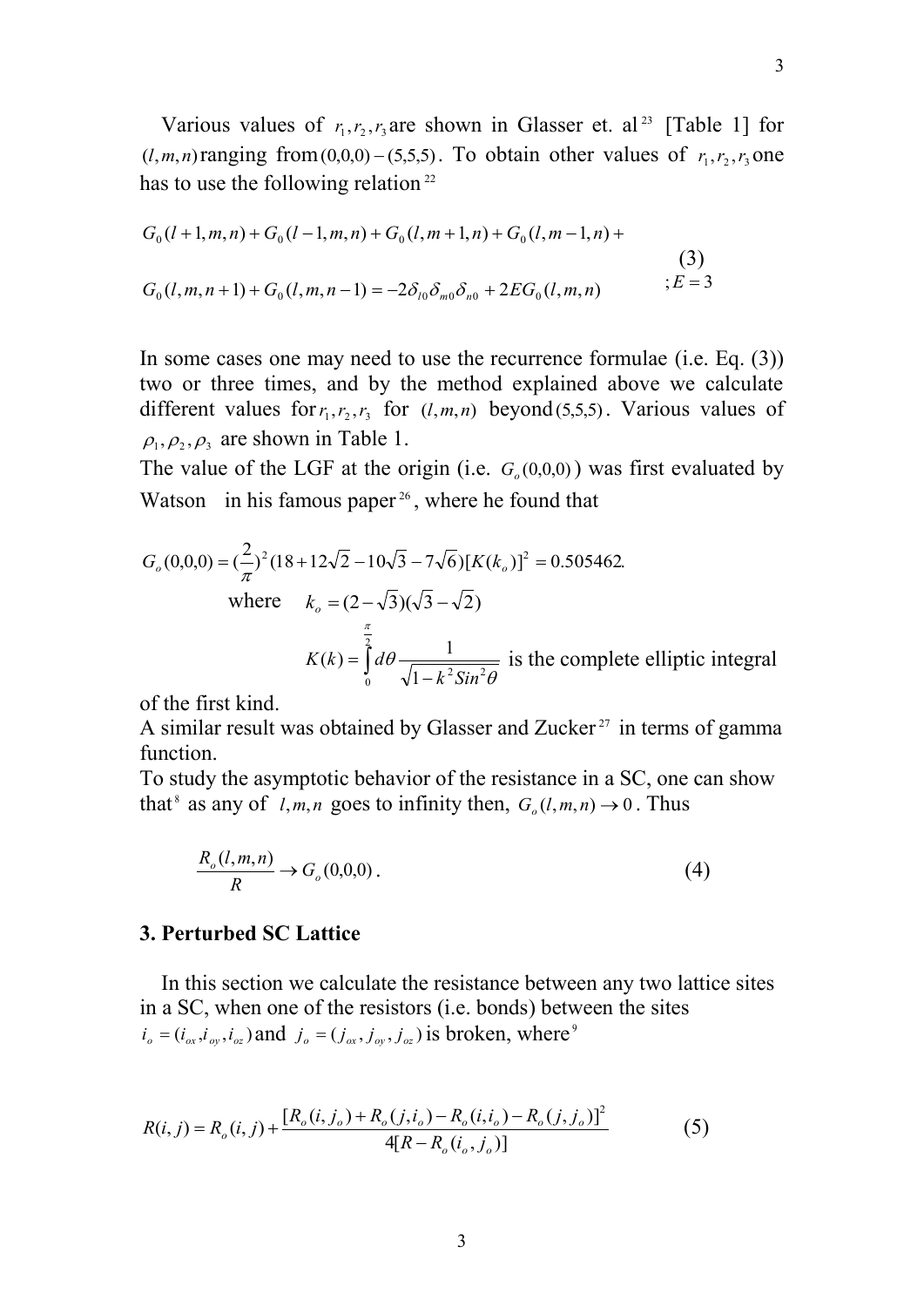Various values of  $r_1, r_2, r_3$  are shown in Glasser et. al<sup>23</sup> [Table 1] for  $(l, m, n)$  ranging from  $(0, 0, 0) - (5, 5, 5)$ . To obtain other values of  $r_1, r_2, r_3$  one has to use the following relation<sup>22</sup>

$$
G_0(l+1,m,n) + G_0(l-1,m,n) + G_0(l,m+1,n) + G_0(l,m-1,n) +
$$
  
\n(3)  
\n
$$
G_0(l,m,n+1) + G_0(l,m,n-1) = -2\delta_{l0}\delta_{m0}\delta_{n0} + 2EG_0(l,m,n) \qquad \qquad ; E = 3
$$

In some cases one may need to use the recurrence formulae (i.e. Eq. (3)) two or three times, and by the method explained above we calculate different values for  $r_1, r_2, r_3$  for  $(l, m, n)$  beyond (5,5,5). Various values of  $\rho_1, \rho_2, \rho_3$  are shown in Table 1.

The value of the LGF at the origin (i.e.  $G_o(0,0,0)$ ) was first evaluated by Watson in his famous paper<sup>26</sup>, where he found that

$$
G_o(0,0,0) = \left(\frac{2}{\pi}\right)^2 (18 + 12\sqrt{2} - 10\sqrt{3} - 7\sqrt{6}) [K(k_o)]^2 = 0.505462.
$$
  
where  $k_o = (2 - \sqrt{3})(\sqrt{3} - \sqrt{2})$   

$$
K(k) = \int_0^{\frac{\pi}{2}} d\theta \frac{1}{\sqrt{1 - k^2 Sin^2 \theta}}
$$
 is the complete elliptic integral

of the first kind.

A similar result was obtained by Glasser and Zucker<sup>27</sup> in terms of gamma function.

To study the asymptotic behavior of the resistance in a SC, one can show that<sup>8</sup> as any of  $l, m, n$  goes to infinity then,  $G_o(l, m, n) \rightarrow 0$ . Thus

$$
\frac{R_o(l,m,n)}{R} \to G_o(0,0,0). \tag{4}
$$

### **3. Perturbed SC Lattice**

 In this section we calculate the resistance between any two lattice sites in a SC, when one of the resistors (i.e. bonds) between the sites  $i_o = (i_{ox}, i_{oy}, i_{oz})$  and  $j_o = (j_{ox}, j_{oy}, j_{oz})$  is broken, where<sup>9</sup>

$$
R(i, j) = R_o(i, j) + \frac{[R_o(i, j_o) + R_o(j, i_o) - R_o(i, i_o) - R_o(j, j_o)]^2}{4[R - R_o(i_o, j_o)]}
$$
(5)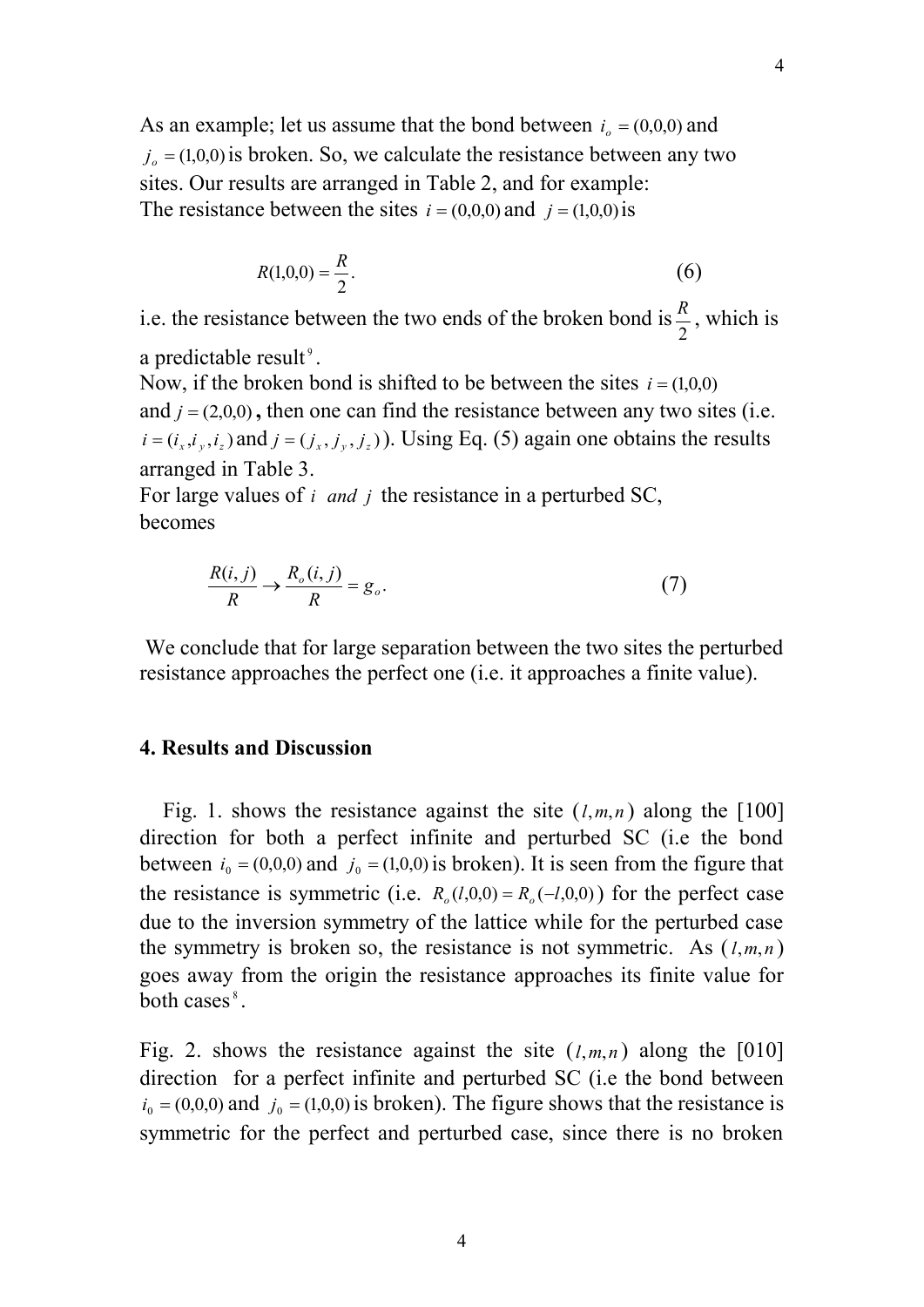As an example; let us assume that the bond between  $i_o = (0,0,0)$  and  $j_o = (1,0,0)$  is broken. So, we calculate the resistance between any two sites. Our results are arranged in Table 2, and for example: The resistance between the sites  $i = (0,0,0)$  and  $j = (1,0,0)$  is

$$
R(1,0,0) = \frac{R}{2}.
$$
 (6)

i.e. the resistance between the two ends of the broken bond is 2  $\frac{R}{2}$ , which is

a predictable result<sup>9</sup>.

Now, if the broken bond is shifted to be between the sites  $i = (1,0,0)$ and  $j = (2,0,0)$ , then one can find the resistance between any two sites (i.e.  $i = (i_x, i_y, i_z)$  and  $j = (j_x, j_y, j_z)$ . Using Eq. (5) again one obtains the results arranged in Table 3.

For large values of *i* and *j* the resistance in a perturbed SC, becomes

$$
\frac{R(i,j)}{R} \to \frac{R_o(i,j)}{R} = g_o.
$$
 (7)

We conclude that for large separation between the two sites the perturbed resistance approaches the perfect one (i.e. it approaches a finite value).

## **4. Results and Discussion**

Fig. 1. shows the resistance against the site  $(l,m,n)$  along the [100] direction for both a perfect infinite and perturbed SC (i.e the bond between  $i_0 = (0,0,0)$  and  $j_0 = (1,0,0)$  is broken). It is seen from the figure that the resistance is symmetric (i.e.  $R_o(l,0,0) = R_o(-l,0,0)$ ) for the perfect case due to the inversion symmetry of the lattice while for the perturbed case the symmetry is broken so, the resistance is not symmetric. As  $(l, m, n)$ goes away from the origin the resistance approaches its finite value for both cases<sup>8</sup>.

Fig. 2. shows the resistance against the site  $(l,m,n)$  along the [010] direction for a perfect infinite and perturbed SC (i.e the bond between  $i_0 = (0,0,0)$  and  $j_0 = (1,0,0)$  is broken). The figure shows that the resistance is symmetric for the perfect and perturbed case, since there is no broken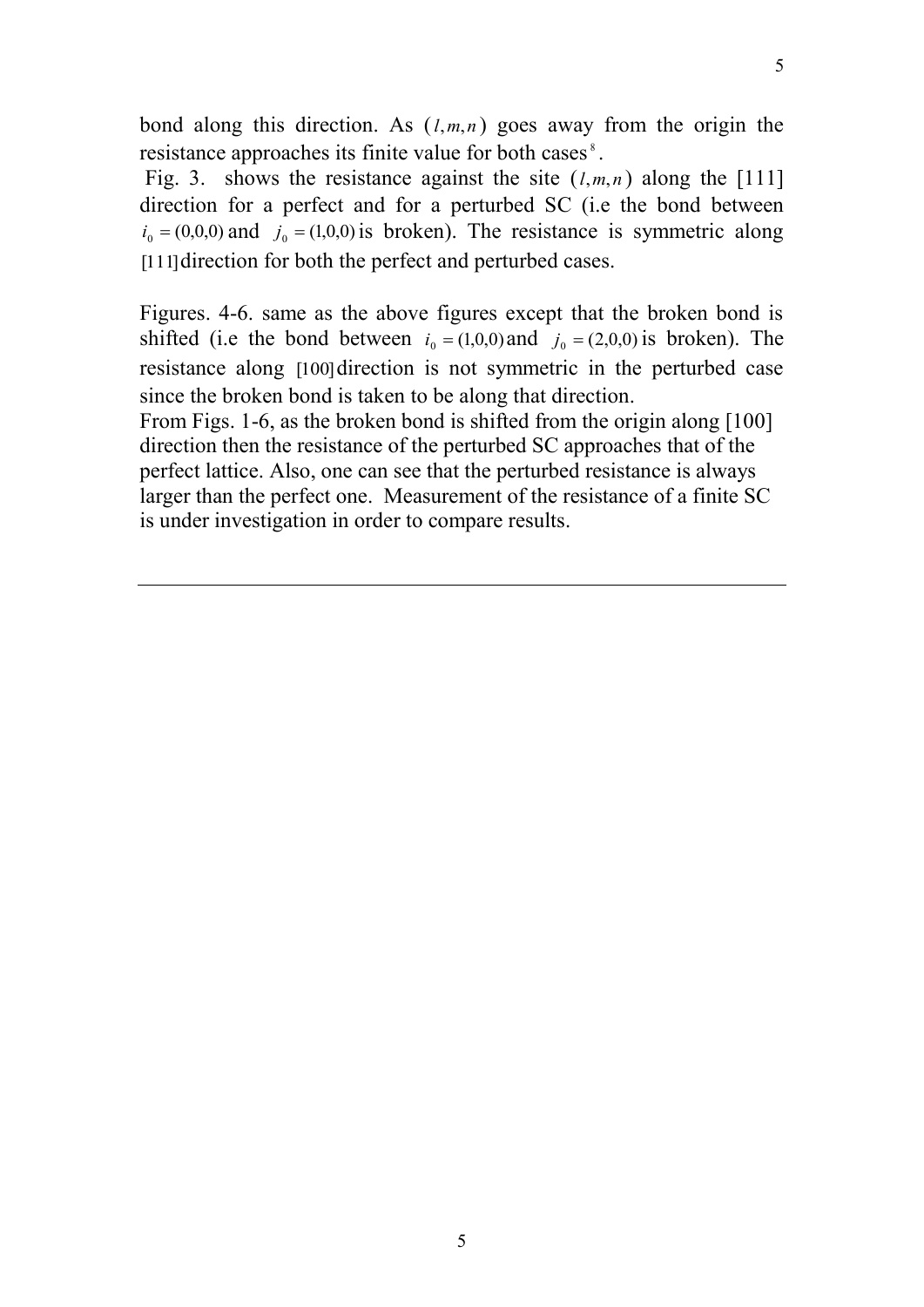bond along this direction. As  $(l,m,n)$  goes away from the origin the resistance approaches its finite value for both cases<sup>8</sup>.

Fig. 3. shows the resistance against the site  $(l,m,n)$  along the [111] direction for a perfect and for a perturbed SC (i.e the bond between  $i_0 = (0,0,0)$  and  $j_0 = (1,0,0)$  is broken). The resistance is symmetric along [111] direction for both the perfect and perturbed cases.

Figures. 4-6. same as the above figures except that the broken bond is shifted (i.e the bond between  $i_0 = (1,0,0)$  and  $j_0 = (2,0,0)$  is broken). The resistance along [100] direction is not symmetric in the perturbed case since the broken bond is taken to be along that direction.

From Figs. 1-6, as the broken bond is shifted from the origin along [100] direction then the resistance of the perturbed SC approaches that of the perfect lattice. Also, one can see that the perturbed resistance is always larger than the perfect one. Measurement of the resistance of a finite SC is under investigation in order to compare results.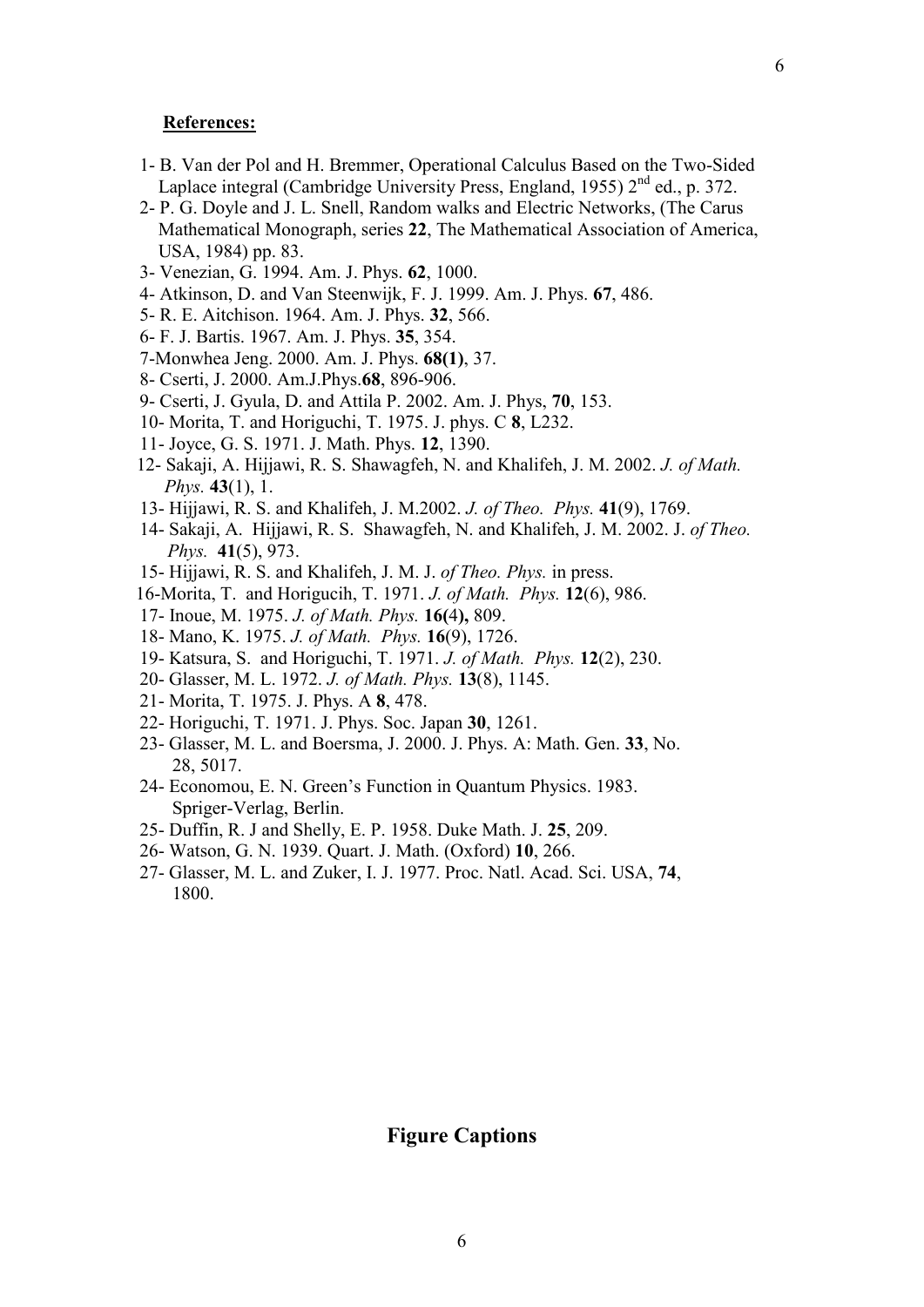#### **References:**

- 1- B. Van der Pol and H. Bremmer, Operational Calculus Based on the Two-Sided Laplace integral (Cambridge University Press, England, 1955) 2<sup>nd</sup> ed., p. 372.
- 2- P. G. Doyle and J. L. Snell, Random walks and Electric Networks, (The Carus Mathematical Monograph, series **22**, The Mathematical Association of America, USA, 1984) pp. 83.
- 3- Venezian, G. 1994. Am. J. Phys. **62**, 1000.
- 4- Atkinson, D. and Van Steenwijk, F. J. 1999. Am. J. Phys. **67**, 486.
- 5- R. E. Aitchison. 1964. Am. J. Phys. **32**, 566.
- 6- F. J. Bartis. 1967. Am. J. Phys. **35**, 354.
- 7-Monwhea Jeng. 2000. Am. J. Phys. **68(1)**, 37.
- 8- Cserti, J. 2000. Am.J.Phys.**68**, 896-906.
- 9- Cserti, J. Gyula, D. and Attila P. 2002. Am. J. Phys, **70**, 153.
- 10- Morita, T. and Horiguchi, T. 1975. J. phys. C **8**, L232.
- 11- Joyce, G. S. 1971. J. Math. Phys. **12**, 1390.
- 12- Sakaji, A. Hijjawi, R. S. Shawagfeh, N. and Khalifeh, J. M. 2002. *J. of Math. Phys.* **43**(1), 1.
- 13- Hijjawi, R. S. and Khalifeh, J. M.2002. *J. of Theo. Phys.* **41**(9), 1769.
- 14- Sakaji, A. Hijjawi, R. S. Shawagfeh, N. and Khalifeh, J. M. 2002. J. *of Theo. Phys.* **41**(5), 973.
- 15- Hijjawi, R. S. and Khalifeh, J. M. J. *of Theo. Phys.* in press.
- 16-Morita, T. and Horigucih, T. 1971. *J. of Math. Phys.* **12**(6), 986.
- 17- Inoue, M. 1975. *J. of Math. Phys.* **16(**4**),** 809.
- 18- Mano, K. 1975. *J. of Math. Phys.* **16**(9), 1726.
- 19- Katsura, S. and Horiguchi, T. 1971. *J. of Math. Phys.* **12**(2), 230.
- 20- Glasser, M. L. 1972. *J. of Math. Phys.* **13**(8), 1145.
- 21- Morita, T. 1975. J. Phys. A **8**, 478.
- 22- Horiguchi, T. 1971. J. Phys. Soc. Japan **30**, 1261.
- 23- Glasser, M. L. and Boersma, J. 2000. J. Phys. A: Math. Gen. **33**, No. 28, 5017.
- 24- Economou, E. N. Green's Function in Quantum Physics. 1983. Spriger-Verlag, Berlin.
- 25- Duffin, R. J and Shelly, E. P. 1958. Duke Math. J. **25**, 209.
- 26- Watson, G. N. 1939. Quart. J. Math. (Oxford) **10**, 266.
- 27- Glasser, M. L. and Zuker, I. J. 1977. Proc. Natl. Acad. Sci. USA, **74**, 1800.

### **Figure Captions**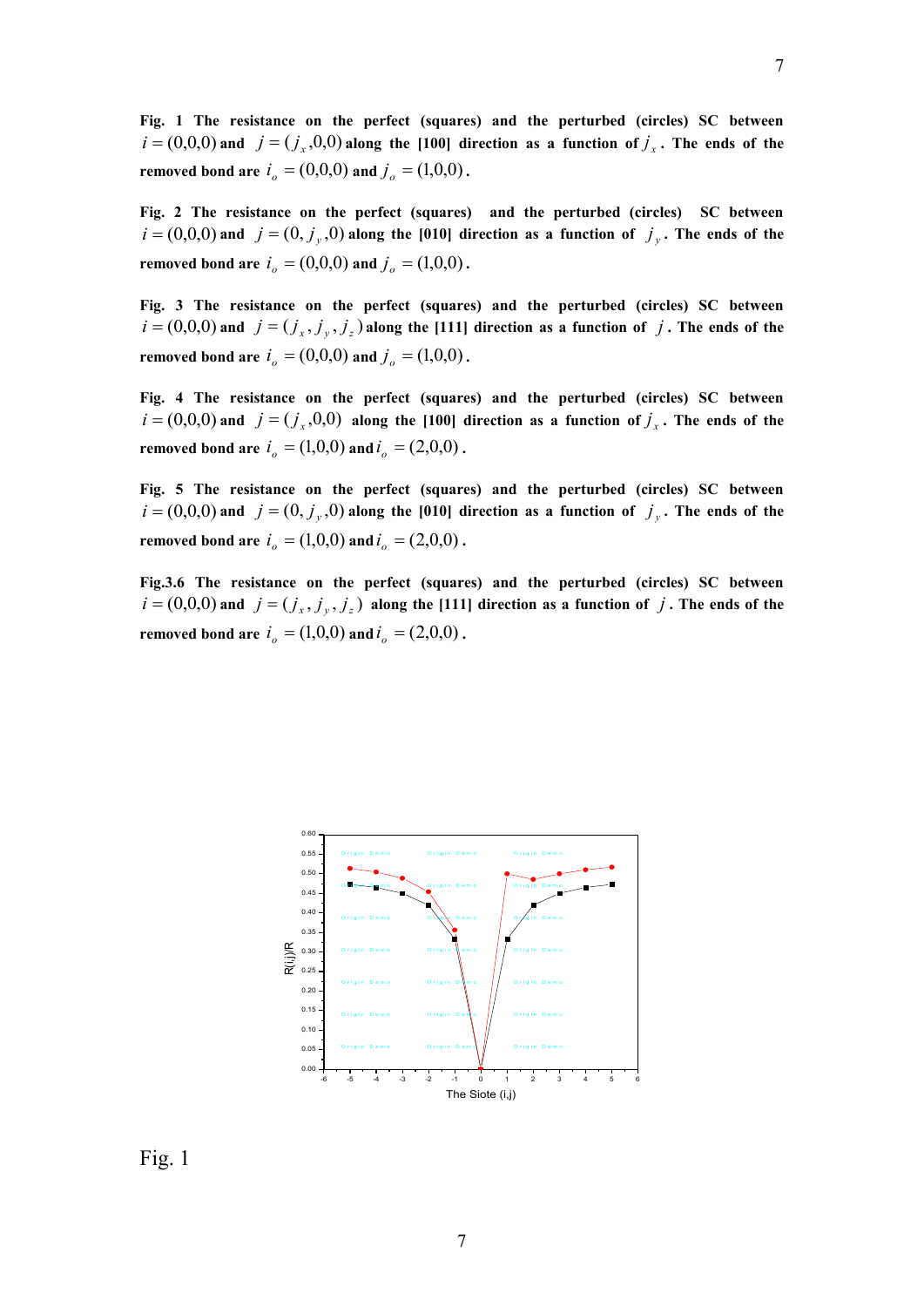**Fig. 1 The resistance on the perfect (squares) and the perturbed (circles) SC between**   $i = (0,0,0)$  and  $j = (j_x,0,0)$  along the [100] direction as a function of  $j_x$ . The ends of the **removed bond are**  $i_o = (0,0,0)$  and  $j_o = (1,0,0)$ .

**Fig. 2 The resistance on the perfect (squares) and the perturbed (circles) SC between**   $i = (0, 0, 0)$  and  $j = (0, j_y, 0)$  along the [010] direction as a function of  $j_y$ . The ends of the **removed bond are**  $i_o = (0,0,0)$  and  $j_o = (1,0,0)$ .

**Fig. 3 The resistance on the perfect (squares) and the perturbed (circles) SC between**   $i = (0,0,0)$  and  $j = (j_x, j_y, j_z)$  along the [111] direction as a function of j. The ends of the **removed bond are**  $i_o = (0,0,0)$  and  $j_o = (1,0,0)$ .

**Fig. 4 The resistance on the perfect (squares) and the perturbed (circles) SC between**   $i = (0,0,0)$  and  $j = (j_x,0,0)$  along the [100] direction as a function of  $j_x$ . The ends of the **removed bond are**  $i_o = (1,0,0)$  and  $i_o = (2,0,0)$ .

**Fig. 5 The resistance on the perfect (squares) and the perturbed (circles) SC between**   $i = (0, 0, 0)$  and  $j = (0, j_y, 0)$  along the [010] direction as a function of  $j_y$ . The ends of the **removed bond are**  $i_o = (1,0,0)$  and  $i_o = (2,0,0)$ .

**Fig.3.6 The resistance on the perfect (squares) and the perturbed (circles) SC between**   $i = (0,0,0)$  and  $j = (j_x, j_y, j_z)$  along the [111] direction as a function of j. The ends of the **removed bond are**  $i_o = (1,0,0)$  and  $i_o = (2,0,0)$ .



Fig. 1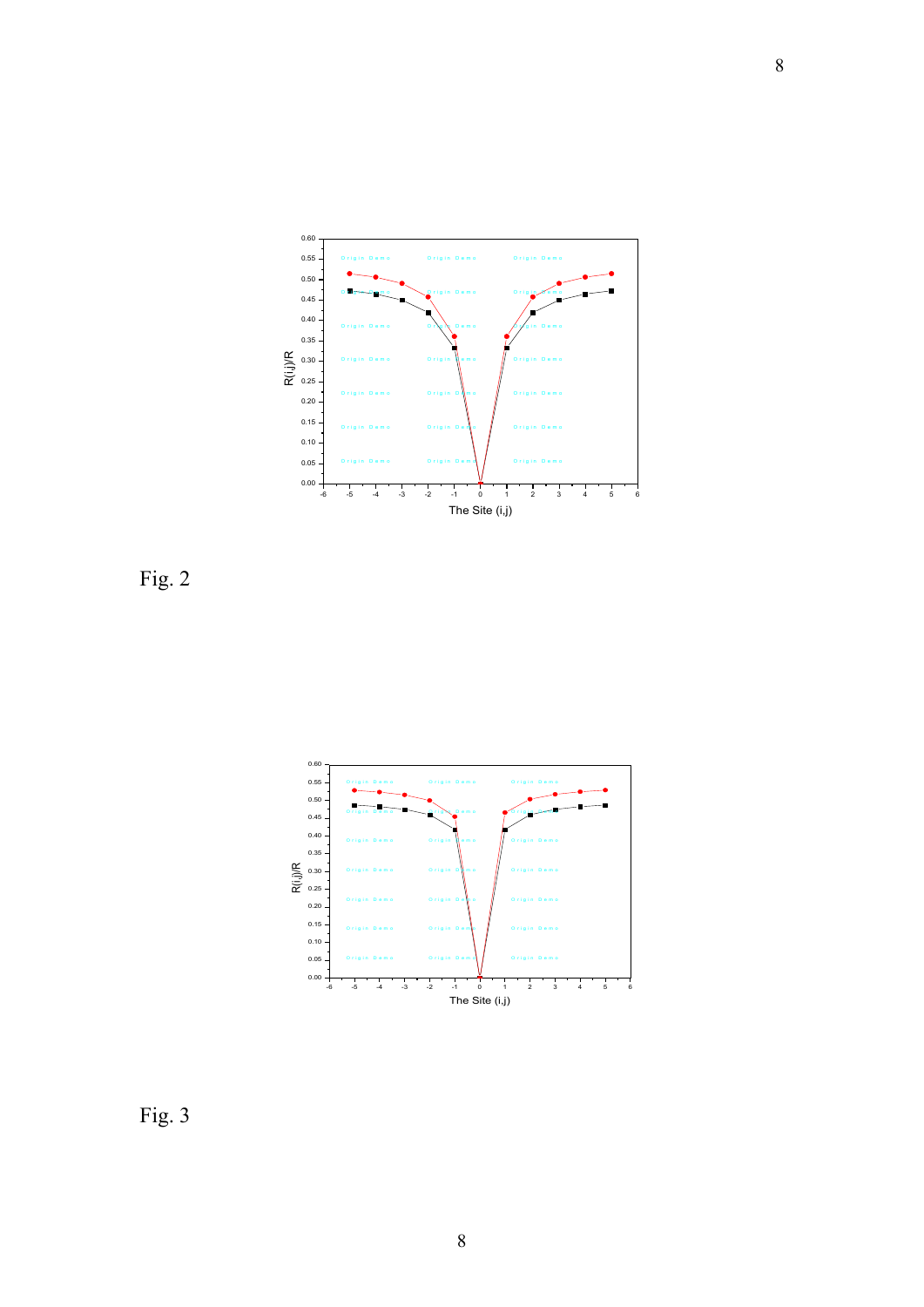

Fig. 2



Fig. 3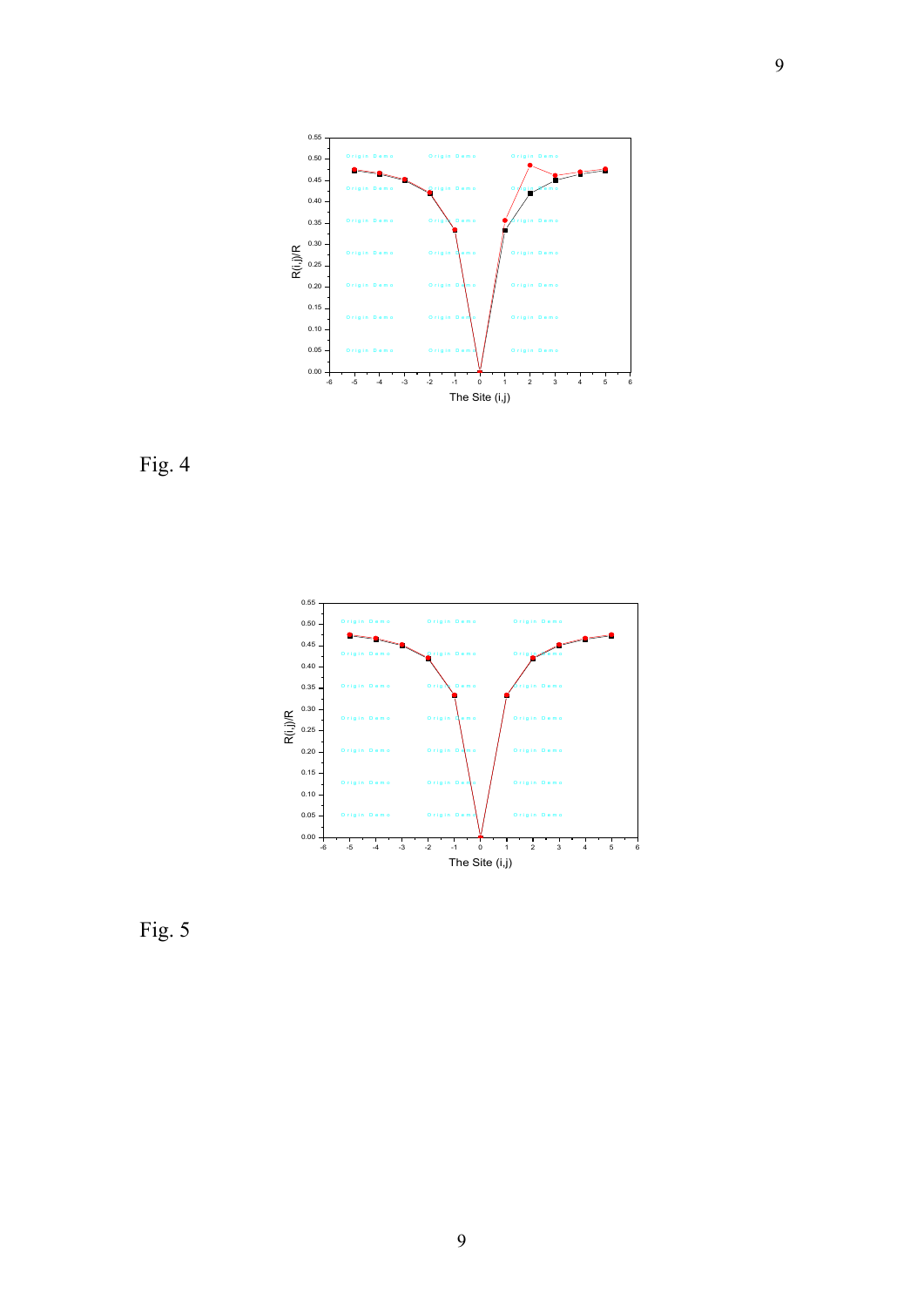





Fig. 5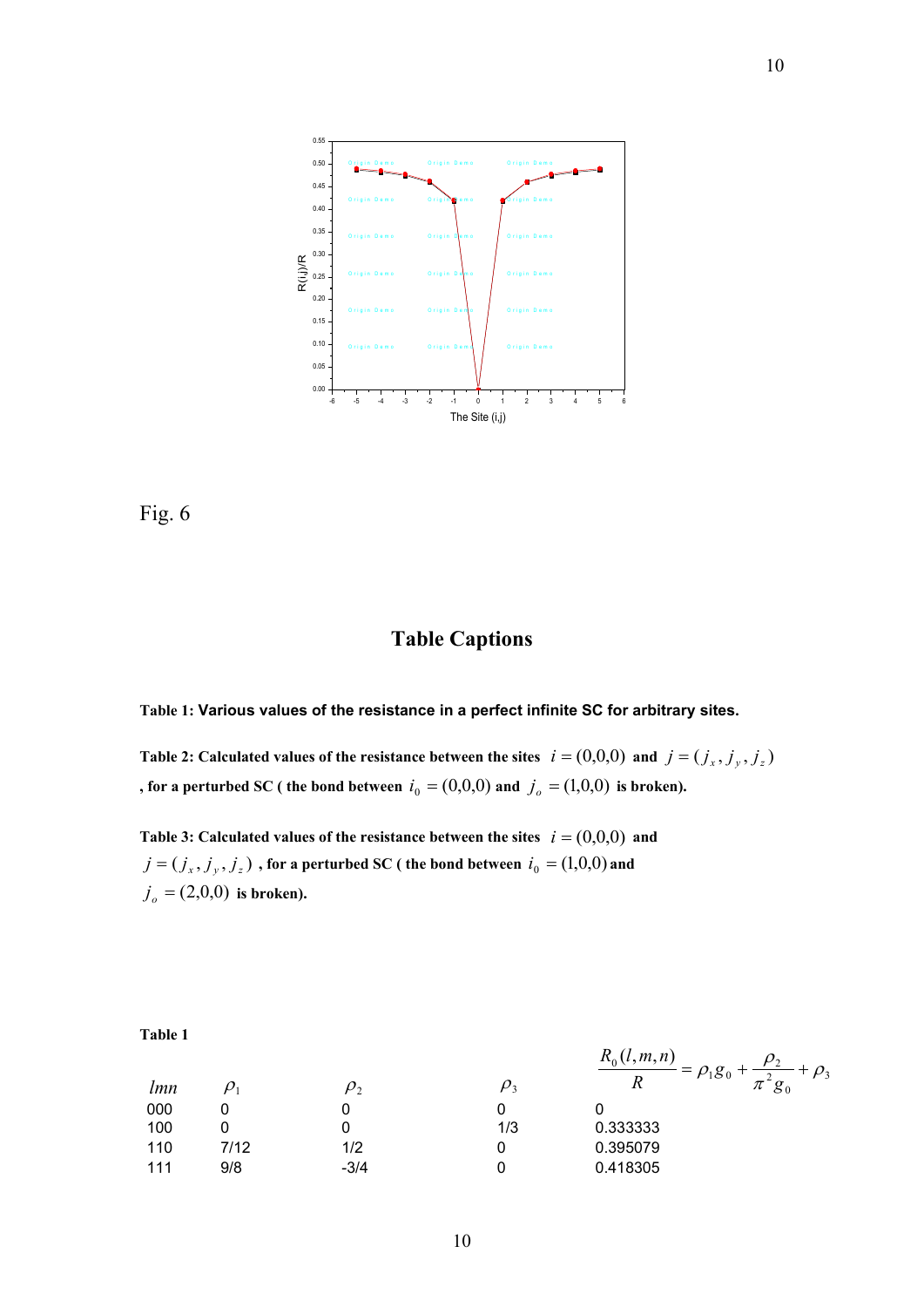



## **Table Captions**

**Table 1: Various values of the resistance in a perfect infinite SC for arbitrary sites.**

Table 2: Calculated values of the resistance between the sites  $i = (0,0,0)$  and  $j = (j_x, j_y, j_z)$ , for a perturbed SC ( the bond between  $i_0 = (0,0,0)$  and  $j_o = (1,0,0)$  is broken).

Table 3: Calculated values of the resistance between the sites  $i = (0,0,0)$  and  $j = (j_x, j_y, j_z)$  , for a perturbed SC ( the bond between  $i_0 = (1,0,0)$  and  $j_o = (2,0,0)$  is broken).

**Table 1**

 $lmn$   $\rho_1$ 

| lmn | $\rho_1$ | $\rho_2$ | $\rho_3$ | $\frac{R_0(l,m,n)}{R} = \rho_1 g_0 + \frac{\rho_2}{\pi^2 g_0} + \rho_3$ |
|-----|----------|----------|----------|-------------------------------------------------------------------------|
| 000 | 0        | 0        | 0        |                                                                         |
| 100 | 0        | 0        | 1/3      | 0.333333                                                                |
| 110 | 7/12     | 1/2      | 0        | 0.395079                                                                |
| 111 | 9/8      | -3/4     | 0        | 0.418305                                                                |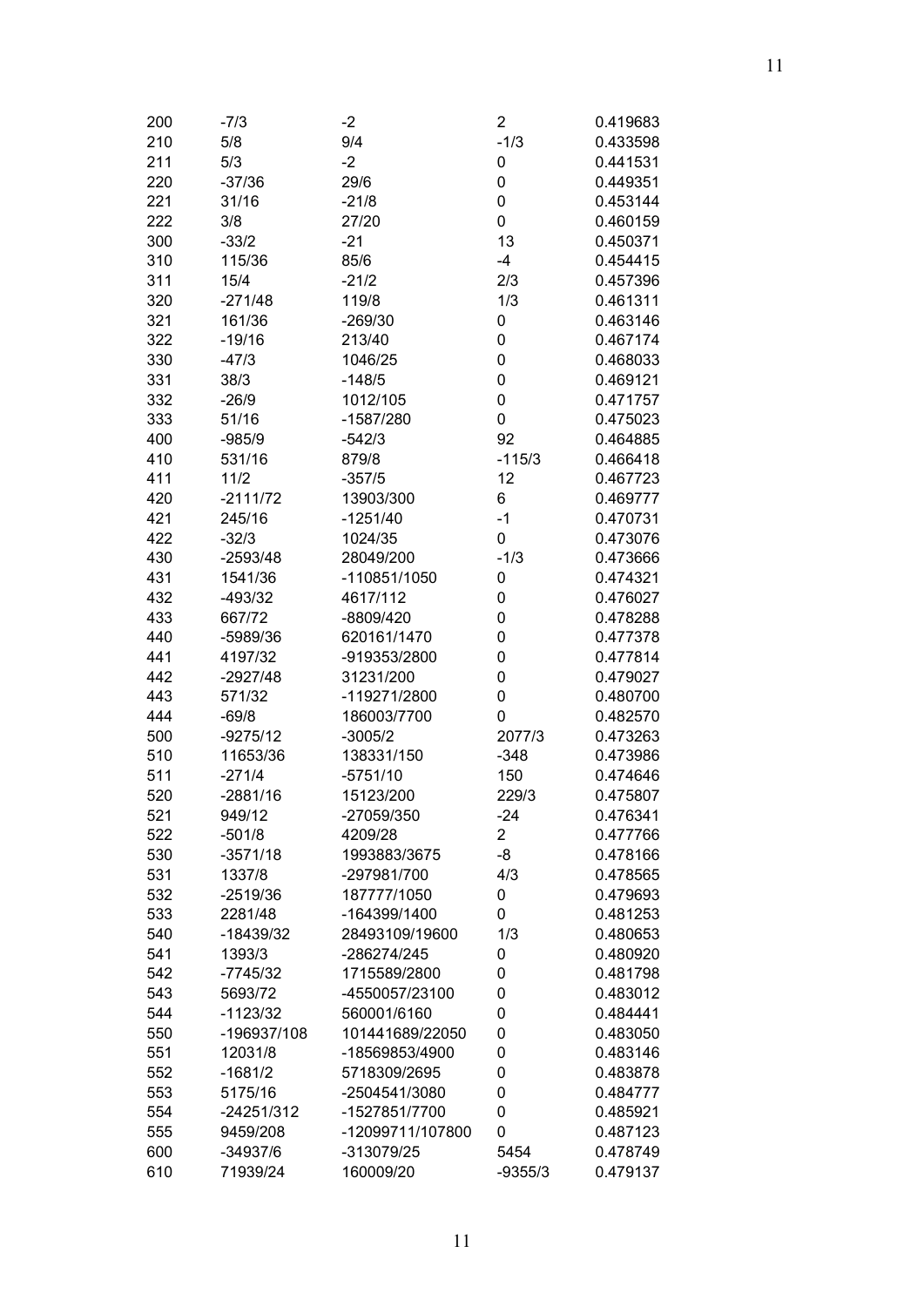| 200 | $-7/3$      | $-2$             | 2         | 0.419683 |
|-----|-------------|------------------|-----------|----------|
| 210 | 5/8         | 9/4              | $-1/3$    | 0.433598 |
| 211 | 5/3         | $-2$             | 0         | 0.441531 |
| 220 | $-37/36$    | 29/6             | 0         | 0.449351 |
| 221 | 31/16       | $-21/8$          | 0         | 0.453144 |
| 222 | 3/8         | 27/20            | 0         | 0.460159 |
| 300 | $-33/2$     | $-21$            | 13        | 0.450371 |
| 310 | 115/36      | 85/6             | $-4$      | 0.454415 |
| 311 | 15/4        | $-21/2$          | 2/3       | 0.457396 |
| 320 | $-271/48$   | 119/8            | 1/3       | 0.461311 |
| 321 | 161/36      | $-269/30$        | 0         | 0.463146 |
| 322 | $-19/16$    | 213/40           | 0         | 0.467174 |
| 330 | $-47/3$     | 1046/25          | 0         | 0.468033 |
| 331 | 38/3        | $-148/5$         | 0         | 0.469121 |
| 332 | $-26/9$     | 1012/105         | 0         | 0.471757 |
| 333 | 51/16       | -1587/280        | 0         | 0.475023 |
| 400 | $-985/9$    | $-542/3$         | 92        | 0.464885 |
| 410 | 531/16      | 879/8            | $-115/3$  | 0.466418 |
| 411 | 11/2        | $-357/5$         | 12        | 0.467723 |
| 420 | $-2111/72$  | 13903/300        | 6         | 0.469777 |
| 421 | 245/16      | $-1251/40$       | $-1$      | 0.470731 |
| 422 | $-32/3$     | 1024/35          | 0         | 0.473076 |
| 430 | $-2593/48$  | 28049/200        | $-1/3$    | 0.473666 |
| 431 | 1541/36     | -110851/1050     | 0         | 0.474321 |
| 432 | $-493/32$   | 4617/112         | 0         | 0.476027 |
|     | 667/72      | -8809/420        |           | 0.478288 |
| 433 |             | 620161/1470      | 0         | 0.477378 |
| 440 | -5989/36    |                  | 0         |          |
| 441 | 4197/32     | -919353/2800     | 0         | 0.477814 |
| 442 | -2927/48    | 31231/200        | 0         | 0.479027 |
| 443 | 571/32      | -119271/2800     | 0         | 0.480700 |
| 444 | $-69/8$     | 186003/7700      | 0         | 0.482570 |
| 500 | $-9275/12$  | $-3005/2$        | 2077/3    | 0.473263 |
| 510 | 11653/36    | 138331/150       | $-348$    | 0.473986 |
| 511 | $-271/4$    | $-5751/10$       | 150       | 0.474646 |
| 520 | $-2881/16$  | 15123/200        | 229/3     | 0.475807 |
| 521 | 949/12      | -27059/350       | $-24$     | 0.476341 |
| 522 | $-501/8$    | 4209/28          | 2         | 0.477766 |
| 530 | $-3571/18$  | 1993883/3675     | -8        | 0.478166 |
| 531 | 1337/8      | -297981/700      | 4/3       | 0.478565 |
| 532 | $-2519/36$  | 187777/1050      | 0         | 0.479693 |
| 533 | 2281/48     | -164399/1400     | 0         | 0.481253 |
| 540 | -18439/32   | 28493109/19600   | 1/3       | 0.480653 |
| 541 | 1393/3      | -286274/245      | 0         | 0.480920 |
| 542 | $-7745/32$  | 1715589/2800     | 0         | 0.481798 |
| 543 | 5693/72     | -4550057/23100   | 0         | 0.483012 |
| 544 | $-1123/32$  | 560001/6160      | 0         | 0.484441 |
| 550 | -196937/108 | 101441689/22050  | 0         | 0.483050 |
| 551 | 12031/8     | -18569853/4900   | 0         | 0.483146 |
| 552 | $-1681/2$   | 5718309/2695     | 0         | 0.483878 |
| 553 | 5175/16     | -2504541/3080    | 0         | 0.484777 |
| 554 | -24251/312  | -1527851/7700    | 0         | 0.485921 |
| 555 | 9459/208    | -12099711/107800 | 0         | 0.487123 |
| 600 | -34937/6    | -313079/25       | 5454      | 0.478749 |
| 610 | 71939/24    | 160009/20        | $-9355/3$ | 0.479137 |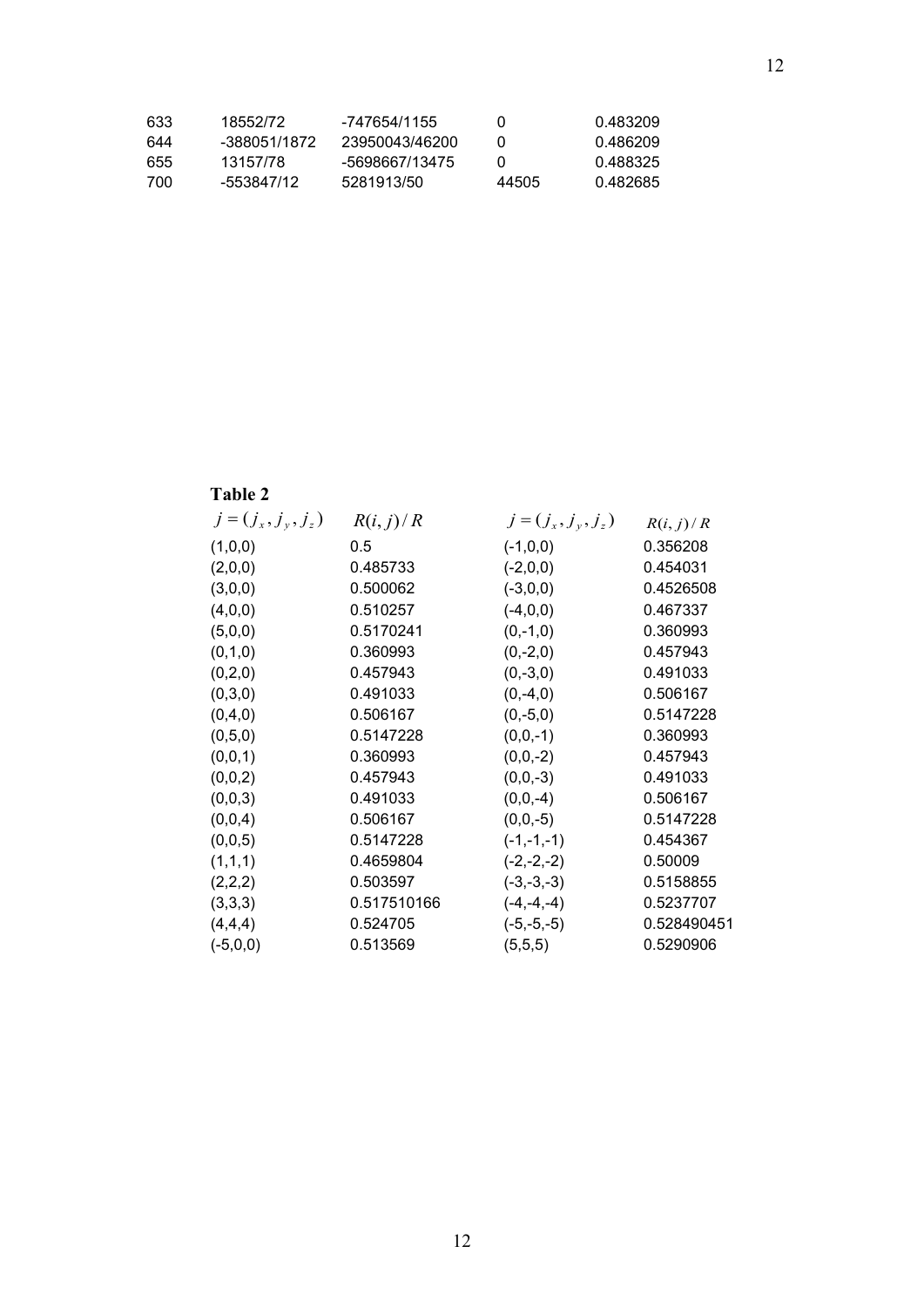| 633 | 18552/72     | -747654/1155   | $\mathbf{U}$ | በ 483209 |
|-----|--------------|----------------|--------------|----------|
| 644 | -388051/1872 | 23950043/46200 |              | በ 486209 |
| 655 | 13157/78     | -5698667/13475 |              | 0.488325 |
| 700 | -553847/12   | 5281913/50     | 44505        | 0.482685 |

# **Table 2**

| $j=(j_{x},j_{y},j_{z})$ | R(i, j)/R   | $j = (j_x, j_y, j_z)$ | R(i, j)/R   |
|-------------------------|-------------|-----------------------|-------------|
| (1,0,0)                 | 0.5         | $(-1,0,0)$            | 0.356208    |
| (2,0,0)                 | 0.485733    | $(-2,0,0)$            | 0.454031    |
| (3,0,0)                 | 0.500062    | $(-3,0,0)$            | 0.4526508   |
| (4,0,0)                 | 0.510257    | $(-4,0,0)$            | 0.467337    |
| (5,0,0)                 | 0.5170241   | $(0,-1,0)$            | 0.360993    |
| (0,1,0)                 | 0.360993    | $(0,-2,0)$            | 0.457943    |
| (0,2,0)                 | 0.457943    | $(0,-3,0)$            | 0.491033    |
| (0,3,0)                 | 0.491033    | $(0,-4,0)$            | 0.506167    |
| (0,4,0)                 | 0.506167    | $(0,-5,0)$            | 0.5147228   |
| (0,5,0)                 | 0.5147228   | $(0,0,-1)$            | 0.360993    |
| (0,0,1)                 | 0.360993    | $(0,0,-2)$            | 0.457943    |
| (0,0,2)                 | 0.457943    | $(0,0,-3)$            | 0.491033    |
| (0,0,3)                 | 0.491033    | $(0,0,-4)$            | 0.506167    |
| (0,0,4)                 | 0.506167    | $(0,0,-5)$            | 0.5147228   |
| (0,0,5)                 | 0.5147228   | $(-1,-1,-1)$          | 0.454367    |
| (1,1,1)                 | 0.4659804   | $(-2,-2,-2)$          | 0.50009     |
| (2,2,2)                 | 0.503597    | $(-3,-3,-3)$          | 0.5158855   |
| (3,3,3)                 | 0.517510166 | $(-4,-4,-4)$          | 0.5237707   |
| (4,4,4)                 | 0.524705    | $(-5,-5,-5)$          | 0.528490451 |
| $(-5,0,0)$              | 0.513569    | (5,5,5)               | 0.5290906   |